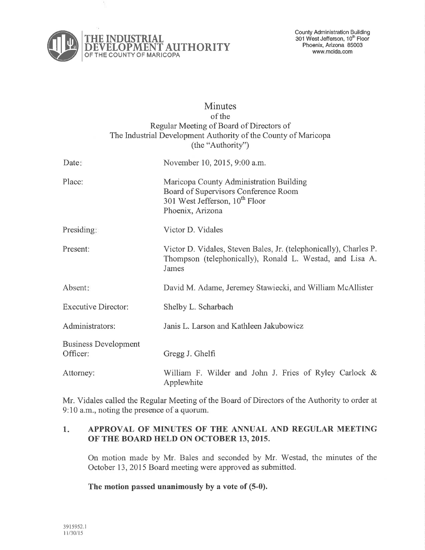

# **Minutes** of the Regular Meeting of Board of Directors of The Industrial Development Authority of the County of Maricopa (the "Authority") Date: November 10, 2015, 9:00 a.m. Place: Presiding: Present: Absent Executive Director: Administrators: Maricopa County Administration Building Board of Supervisors Conference Room 301 West Jefferson, 10<sup>th</sup> Floor Phoenix, Arizona Victor D. Vidales Victor D. Vidales, Steven Bales, Jr. (telephonically), Charles P. Thompson (telephonically), Ronald L. Westad, and Lisa A. James David M. Adame, Jeremey Stawiecki, and William McAllister Shelby L. Scharbach Janis L. Larson and Kathleen Jakubowicz Business Development Officer: Gregg J. Ghelfi Attomey: William F. Wilder and John J. Fries of Ryley Carlock & Applewhite

Mr. Vidales called the Regular Meeting of the Board of Directors of the Authority to order at 9:10 a.m., noting the presence of a quorum.

#### $1.$ APPROVAL OF MINUTES OF THE ANNUAL AND REGULAR MEETING OF TIIE BOARD HELD ON OCTOBER 13, 2015.

On motion made by Mr. Bales and seconded by Mr. Westad, the minutes of the October 13,2015 Board meeting were approved as submitted.

The motion passed unanimously by a vote of (5-0).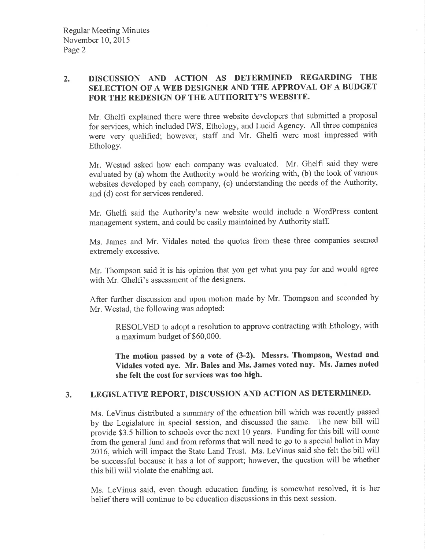## ) DISCUSSION AND ACTION AS DETERMINED REGARDING THE SELECTION OF A WEB DESIGNER AND THE APPROVAL OF A BUDGET FOR THE REDESIGN OF THE AUTHORITY'S WEBSITE.

Mr, Ghelfi explained there were three website developers that submitted a proposal for services, which included IWS, Ethology, and Lucid Agency. All three companies were very qualified; however, staff and Mr. Ghelfi were most impressed with Ethology.

Mr. 'Westad asked how each company was evaluated. Mr. Ghelfi said they were evaluated by (a) whom the Authority would be working with, (b) the look of various websites developed by each company, (c) understanding the needs of the Authority, and (d) cost for services rendered.

Mr. Ghelfi said the Authority's new website would include a 'WordPress content management system, and could be easily maintained by Authority staff.

Ms. James and Mr. Vidales noted the quotes from these three companies seemed extremely excessive.

Mr. Thompson said it is his opinion that you get what you pay for and would agree with Mr. Ghelfi's assessment of the designers.

After further discussion and upon motion made by Mr. Thompson and seconded by Mr. Westad, the following was adopted:

RESOLVED to adopt a resolution to approve contracting with Ethology, with a maximum budget of \$60,000.

The motion passed by a vote of (3-2). Messrs. Thompson, Westad and Vidales voted aye. Mr. Bales and Ms. James voted nay. Ms. James noted she felt the cost for services was too high.

# 3. LEGISLATIVE REPORT, DISCUSSION AND ACTION AS DETERMINED.

Ms. LeVinus distributed a summary of the education bill which was recently passed by the Legislature in special session, and discussed the same. The new bill will provide \$3.5 billion to schools over the next 10 years. Funding for this bill will come from the general fund and from reforms that will need to go to a special ballot in May 2016, which will impact the State Land Trust. Ms. LeVinus said she felt the bill will be successful because it has a lot of support; however, the question will be whether this bill will violate the enabling act.

Ms. LeVinus said, even though education funding is somewhat resolved, it is her belief there will continue to be education discussions in this next session.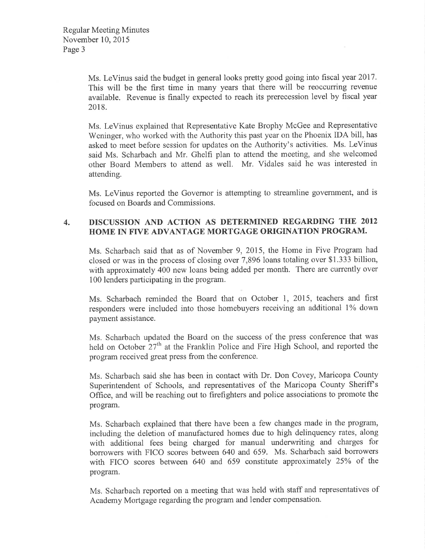Ms. LeVinus said the budget in general looks pretty good going into fiscal year 2017. This will be the first time in many years that there will be reoccurring revenue available. Revenue is finally expected to reach its prerecession level by fiscal year 2018.

Ms. LeVinus explained that Representative Kate Brophy McGee and Representative Weninger, who worked with the Authority this past year on the Phoenix IDA bill, has asked to meet before session for updates on the Authority's activities. Ms. LeVinus said Ms. Scharbach and Mr. Ghelfi plan to attend the meeting, and she welcomed other Board Members to attend as well. Mr. Vidales said he was interested in attending.

Ms. LeVinus reported the Governor is attempting to streamline government, and is focused on Boards and Commissions.

#### 4. DISCUSSION AND ACTION AS DETERMINED REGARDING THE <sup>2012</sup> HOME IN FIVE ADVANTAGE MORTGAGE ORIGINATION PROGRAM.

Ms. Scharbach said that as of November 9, 2015, the Home in Five Program had closed or was in the process of closing over 7,896 loans totaling over \$1.333 billion, with approximately 400 new loans being added per month. There are currently over 100 lenders participating in the program.

Ms. Scharbach reminded the Board that on October 1, 2015, teachers and first responders were included into those homebuyers receiving an additional 1% down payment assistance.

Ms. Scharbach updated the Board on the success of the press conference that was held on October  $27<sup>th</sup>$  at the Franklin Police and Fire High School, and reported the program received great press from the conference.

Ms. Scharbach said she has been in contact with Dr. Don Covey, Maricopa County Superintendent of Schools, and representatives of the Maricopa County Sheriffs Office, and will be reaching out to firefighters and police associations to promote the program.

Ms. Scharbach explained that there have been a few changes made in the program, including the deletion of manufactured homes due to high delinquency rates, along with additional fees being charged for manual underwriting and charges for borrowers with FICO scores between 640 and 659. Ms. Scharbach said borrowers with FICO scores between  $640$  and  $659$  constitute approximately  $25\%$  of the program.

Ms. Scharbach reported on a meeting that was held with staff and representatives of Academy Mortgage regarding the program and lender compensation.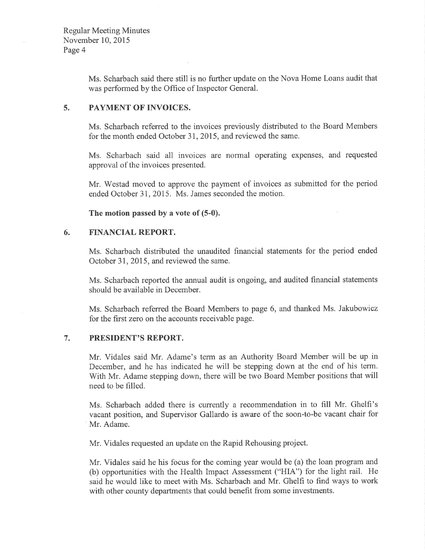Ms. Scharbach said there still is no further update on the Nova Home Loans audit that was performed by the Office of Inspector General.

#### 5. PAYMENT OF INVOICES.

Ms. Scharbach referred to the invoices previously distributed to the Board Members for the month ended October 3I,2015, and reviewed the same.

Ms. Scharbach said all invoices are norrnal operating expenses, and requested approval of the invoices presented.

Mr. Westad moved to approve the payment of invoices as submitted for the period ended October 31, 2015. Ms. James seconded the motion.

The motion passed by a vote of (5-0).

#### 6. FINANCIAL REPORT.

Ms. Scharbach distributed the unaudited financial statements for the period ended October 3I,2015, and reviewed the same.

Ms. Scharbach reported the annual audit is ongoing, and audited financial statements should be available in December.

Ms. Scharbach referred the Board Members to page 6, and thanked Ms. Jakubowicz for the first zero on the accounts receivable page.

#### 7. PRESIDENT'S REPORT.

Mr. Vidales said Mr. Adame's term as an Authority Board Member will be up in December, and he has indicated he will be stepping down at the end of his term. With Mr. Adame stepping down, there will be two Board Member positions that will need to be filled.

Ms. Scharbach added there is currently a recommendation in to fill Mr. Ghelfi's vacant position, and Supervisor Gallardo is aware of the soon-to-be vacant chair for Mr. Adame.

Mr. Vidales requested an update on the Rapid Rehousing project.

Mr. Vidales said he his focus for the coming year would be (a) the loan program and (b) opportunities with the Health Impact Assessment ("HIA") for the light rail. He said he would like to meet with Ms. Scharbach and Mr. Ghelfi to find ways to work with other county departments that could benefit from some investments.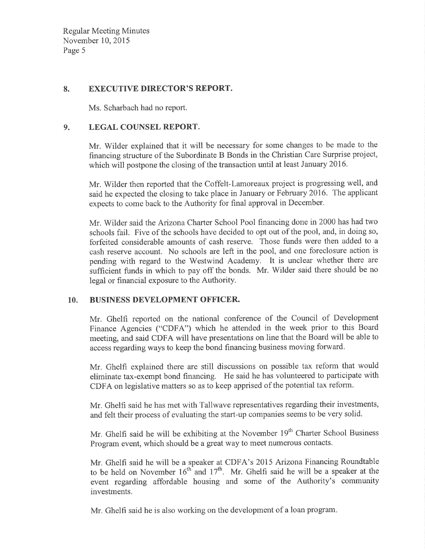Regular Meeting Minutes November 10,2015 Page 5

## 8. EXECUTIVE DIRECTOR'S REPORT.

Ms. Scharbach had no report.

#### 9. LEGAL COUNSEL REPORT.

Mr. Wilder explained that it will be necessary for some changes to be made to the financing structure of the Subordinate B Bonds in the Christian Care Surprise project, which will postpone the closing of the transaction until at least January 2016.

Mr. Wilder then reported that the Coffelt-Lamoreaux project is progressing well, and said he expected the closing to take place in January or February 2016. The applicant expects to come back to the Authority for final approval in December.

Mr. Wilder said the Arizona Charter School Pool financing done in 2000 has had two schools fail. Five of the schools have decided to opt out of the pool, and, in doing so, forfeited considerable amounts of cash reserve. Those funds were then added to <sup>a</sup> cash reserve account. No schools are left in the pool, and one foreclosure action is pending with regard to the Westwind Academy. It is unclear whether there are sufficient funds in which to pay off the bonds. Mr. Wilder said there should be no legal or financial exposure to the Authority.

## 10. BUSINESS DEVELOPMENT OFFICER.

Mr. Ghelfi reported on the national conference of the Council of Development Finance Agencies ("CDFA") which he attended in the week prior to this Board meeting, and said CDFA will have presentations on line that the Board will be able to access regarding ways to keep the bond financing business moving forward.

Mr. Ghelfi explained there are still discussions on possible tax reform that would eliminate tax-exempt bond financing. He said he has volunteered to participate with CDFA on legislative matters so as to keep apprised of the potential tax reform.

Mr. Ghelfi said he has met with Tallwave representatives regarding their investments, and felt their process of evaluating the start-up companies seems to be very solid.

Mr. Ghelfi said he will be exhibiting at the November 19<sup>th</sup> Charter School Business Program event, which should be a great way to meet numerous contacts.

Mr. Ghelfi said he will be a speaker at CDFA's 2015 Anzona Financing Roundtable to be held on November  $16<sup>th</sup>$  and  $17<sup>th</sup>$ . Mr. Ghelfi said he will be a speaker at the event regarding affordable housing and some of the Authority's community investments.

Mr. Ghelfi said he is also working on the development of a loan program